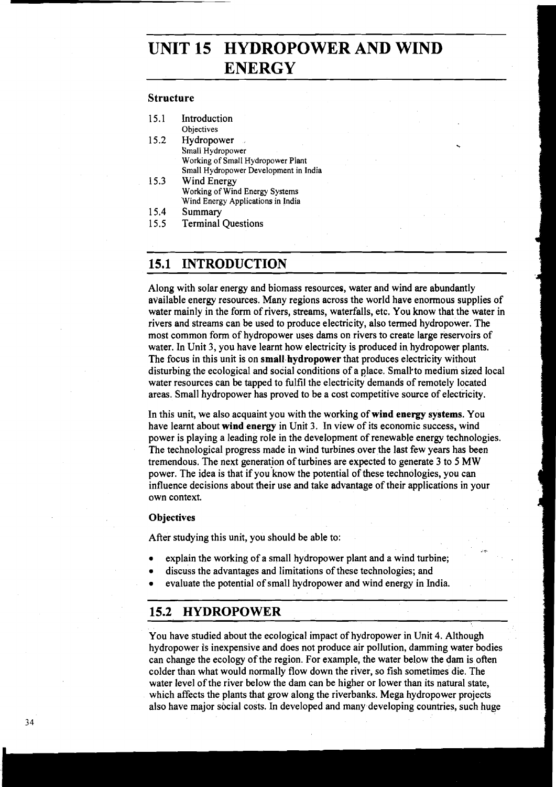# **UNIT 15 HYDROPOWER AND WIND ENERGY**

## **Structure**

| 15.1 | Introduction                          |
|------|---------------------------------------|
|      | Objectives                            |
| 15.2 | Hydropower                            |
|      | Small Hydropower                      |
|      | Working of Small Hydropower Plant     |
|      | Small Hydropower Development in India |
| 15.3 | Wind Energy                           |
|      |                                       |

- Working of Wind Energy Systems Wind Energy Applications in India
- 15.4 Summary
- 15.5 Terminal Ouestions

# **15.1 INTRODUCTION**

Along with solar energy and biomass resources, water and wind are abundantly available energy resources. Many regions across the world have enormous supplies of water mainly in the form of rivers, streams, waterfalls, etc. You know that the water in rivers and streams can be used to produce electricity, also termed hydropower. The most common form of hydropower uses dams on rivers to create large reservoirs of water. In Unit 3, you have learnt how electricity is produced in hydropower plants. The focus in this unit is on **small hydropower** that produces electricity without disturbing the ecological and social conditions of a place. Small to medium sized local water resources can be tapped to fulfil the electricity demands of remotely located areas. Small hydropower has proved to be a cost competitive source of electricity.

In this unit, we also acquaint you with the working of **wind energy systems.** You have learnt about **wind energy** in Unit **3.** In view of its economic success, wind power is playing a leading role in the development of renewable energy technologies. The technological progress made in wind turbines over the last few years has been tremendous. The next generation of turbines are expected to generate 3 to 5 MW power. The idea is that if you'know the potential of these technologies, you can influence decisions about their use and take advantage of their applications in your own context.

;

#### **Objectives**

After studying this unit, you should be able to:

- explain the working of a small hydropower plant and a wind turbine;
- discuss the advantages and limitations of these technologies; and
- evaluate the potential of small hydropower and wind energy in India.

# **15.2 HYDROPOWER**

You have studied about the ecological impact of hydropower in Unit 4. Although hydropower is inexpensive and does not produce air pollution, damming water bodies can change the ecology of the region. For example, the water below the dam is often colder than what would normally flow down the river, so fish sometimes die. The water level of the river below the dam can be higher or lower than its natural state, which affects the plants that grow along the riverbanks. Mega hydropower projects also have major social costs. In developed and many developing countries, such huge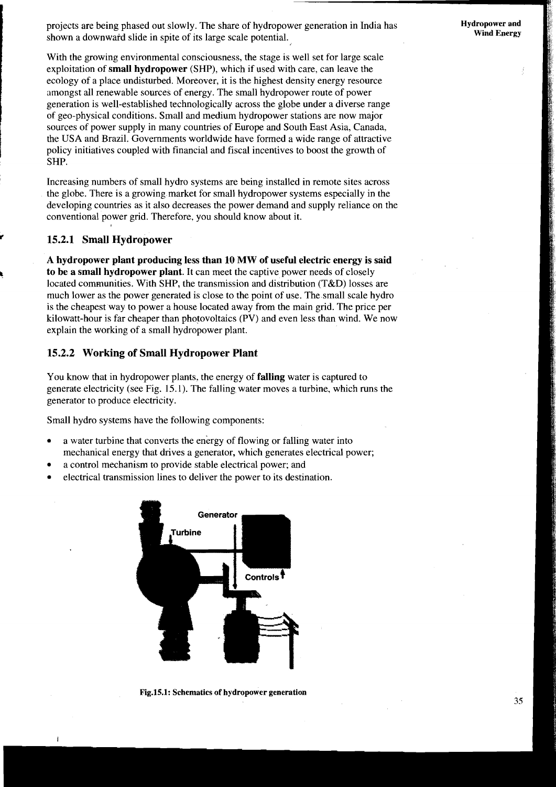projects are being phased out slowly. The share of hydropower generation in India has shown a downward slide in spite of its large scale potential.

With the growing environmental consciousness, the stage is well set for large scale exploitation of **small hydropower** (SHP), which if used with care, can leave the ecology of a place undisturbed. Moreover, it is the highest density energy resource amongst all renewable sources of energy. The small hydropower route of power generation is well-established technologically across the globe under a diverse range of geo-physical conditions. Small and medium hydropower stations are now major sources of power supply in many countries of Europe and South East Asia, Canada, the USA and Brazil. Governments worldwide have formed a wide range of attractive policy initiatives coupled with financial and fiscal incentives to boost the growth of SHP.

Increasing numbers of small hydro systems are being installed in remote sites across the globe. There is a growing market for small hydropower systems especially in the developing countries as it also decreases the power demand and supply reliance on the conventional power grid. Therefore, you should know about it.

### **r 15.2.1 Small Hydropower**

<sup>-</sup>

**A hydropower plant producing less than 10 MW of useful electric energy is said**  <sup>k</sup>**to be a small hydropower plant.** It can meet the captive power needs of closely located communities. With SHP, the transmission and distribution (T&D) losses are much lower as the power generated is close to the point of use. The small scale hydro is the cheapest way to power a house located away from the main grid. The price per kilowatt-hour is far cheaper than photovoltaics (PV) and even less than wind. We now explain the working of a small hydropower plant.

# **15.2.2 Working of Small Hydropower Plant**

You know that in hydropower plants, the energy of **falling** water is captured to generate electricity (see Fig. 15.1). The falling water moves a turbine, which runs the generator to produce electricity.

Small hydro systems have the following components:

- a water turbine that converts the energy of flowing or falling water into mechanical energy that drives a generator, which generates electrical power;
- a control mechanism to provide stable electrical power; and
- electrical transmission lines to deliver the power to its destination.



Fig.15.1: Schematics of hydropower generation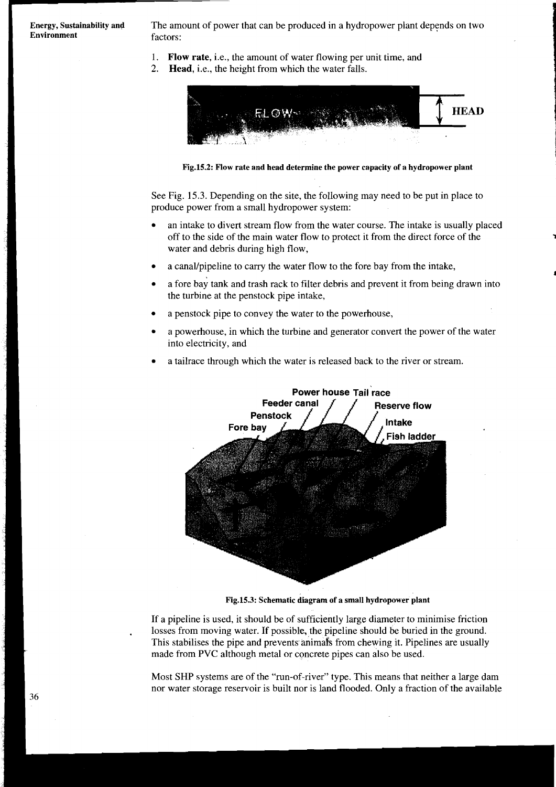**Environment** factors:

**Energy, Sustainability and** The amount of power that can be produced in a hydropower plant depends on two

- I. **Flow rate,** i.e., the amount of water flowing per unit time, and
- 2. **Head,** i.e., the height from which the water falls.



**Fig.15.2: Flow rate and head determine the power capacity of a hydropower plant** 

See Fig. 15.3. Depending on the site, the following may need to be put in place to produce power from a small hydropower system:

- an intake to divert stream flow from the water course. The intake is usually placed off to the side of the main water flow to protect it from the direct force of the water and debris during high flow,
- a canal/pipeline to carry the water flow to the fore bay from the intake,
- a fore bay tank and trash rack to filter debris and prevent it from being drawn into the turbine at the penstock pipe intake,
- a penstock pipe to convey the water to the powerhouse,
- a powerhouse, in which the turbine and generator convert the power of the water into electricity, and
- a tailrace through which the water is released back to the river or stream.



**Fig.15.3: Schematic diagram of a small hydropower plant** 

If a pipeline is used, it should be of sufficiently large diameter to minimise friction losses from moving water. If possible, the pipeline should be buried in the ground. This stabilises the pipe and prevents animafs from chewing it. Pipelines are usually made from PVC although metal or concrete pipes can also be used.

Most SHP systems are of the "run-of-river" type. This means that neither a large dam nor water storage reservoir is built nor is land flooded. Only a fraction of the available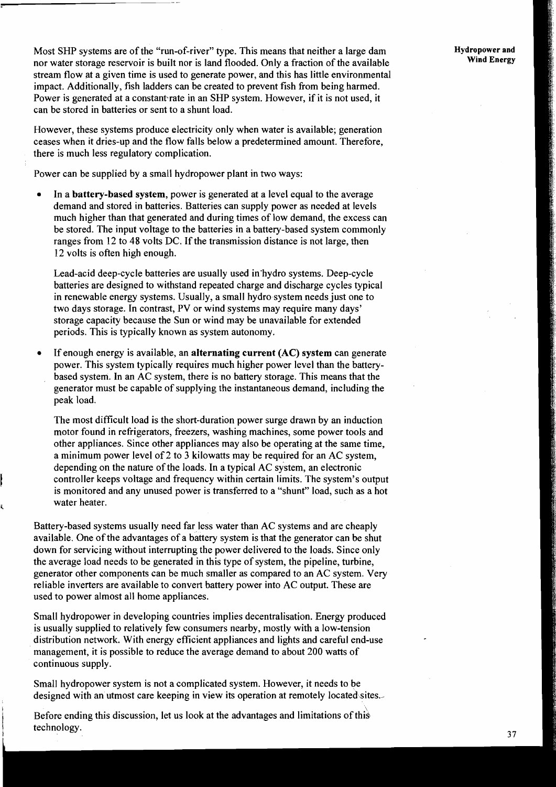Most SHP systems are of the "run-of-river" type. This means that neither a large dam nor water storage reservoir is built nor is land flooded. Only a fraction of the available stream flow at a given time is used to generate power, and this has little environmental impact. Additionally, fish ladders can be created to prevent fish from being harmed. Power is generated at a constant rate in an SHP system. However, if it is not used, it can be stored in batteries or sent to a shunt load.

However, these systems produce electricity only when water is available; generation ceases when it dries-up and the flow falls below a predetermined amount. Therefore, there is much less regulatory complication.

Power can be supplied by a small hydropower plant in two ways:

In a battery-based system, power is generated at a level equal to the average demand and stored in batteries. Batteries can supply power as needed at levels much higher than that generated and during times of low demand, the excess can be stored. The input voltage to the batteries in a battery-based system commonly ranges from 12 to 48 volts DC. If the transmission distance is not large, then 12 volts is often high enough.

Lead-acid deep-cycle batteries are usually used in-hydro systems. Deep-cycle batteries are designed to withstand repeated charge and discharge cycles typical in renewable energy systems. Usually, a small hydro system needs just one to two days storage. In contrast, PV or wind systems may require many days' storage capacity because the Sun or wind may be unavailable for extended periods. This is typically known as system autonomy.

If enough energy is available, an alternating current (AC) system can generate power. This system typically requires much higher power level than the batterybased system. In an AC system, there is no battery storage. This means that the generator must be capable of supplying the instantaneous demand, including the peak load.

The most difficult load is the short-duration power surge drawn by an induction motor found in refrigerators, freezers, washing machines, some power tools and other appliances. Since other appliances may also be operating at the same time, a minimum power level of 2 to 3 kilowatts may be required for an AC system, depending on the nature of the loads. In a typical AC system, an electronic controller keeps voltage and frequency within certain limits. The system's output is monitored and any unused power is transferred to a "shunt" load, such as a hot water heater.

Battery-based systems usually need far less water than AC systems and are cheaply available. One of the advantages of a battery system is that the generator can be shut down for servicing without interrupting the power delivered to the loads. Since only the average load needs to be generated in this type of system, the pipeline, turbine, generator other components can be much smaller as compared to an AC system. Very reliable inverters are available to convert battery power into AC output. These are used to power almost all home appliances.

Small hydropower in developing countries implies decentralisation. Energy produced is usually supplied to relatively few consumers nearby, mostly with a low-tension distribution network. With energy efficient appliances and lights and careful end-use management, it is possible to reduce the average demand to about 200 watts of continuous supply.

Small hydropower system is not a complicated system. However, it needs to be designed with an utmost care keeping in view its operation at remotely located sites. -

**i Before ending this discussion, let us look at the advantages and limitations of this** technology.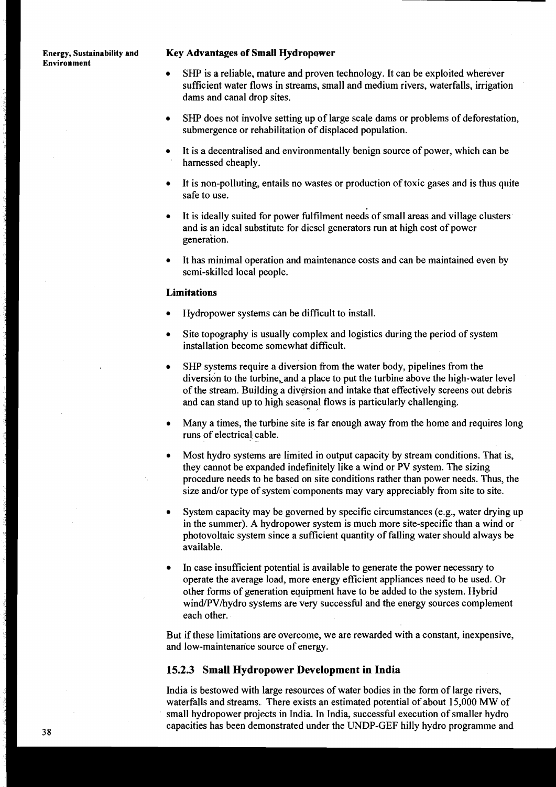# **Environment**

#### **Energy, Sustainability and Key Advantages of Small Hydropower**

- SHP is a reliable, mature and proven technology. It can be exploited wherever sufficient water flows in streams, small and medium rivers, waterfalls, irrigation dams and canal drop sites.
- SHP does not involve setting up of large scale dams or problems of deforestation, submergence or rehabilitation of displaced population.
- It is a decentralised and environmentally benign source of power, which can be harnessed cheaply.
- It is non-polluting, entails no wastes or production of toxic gases and is thus quite safe to use.
- It is ideally suited for power fulfilment needs of small areas and village clusters  $\bullet$ and is an ideal substitute for diesel generators run at high cost of power generation.
- It has minimal operation and maintenance costs and can be maintained even by semi-skilled local people.

#### **Limitations**

- Hydropower systems can be difficult to install.
- Site topography is usually complex and logistics during the period of system installation become somewhat difficult.
- SHP systems require a diversion from the water body, pipelines from the diversion to the turbine, and a place to put the turbine above the high-water level of the stream. Building a diversion and intake that effectively screens out debris and can stand up to high seasonal flows is particularly challenging.
- Many a times, the turbine site is far enough away from the home and requires long runs of electrical cable.
- Most hydro systems are limited in output capacity by stream conditions. That is, they cannot be expanded indefinitely like a wind or PV system. The sizing procedure needs to be based on site conditions rather than power needs. Thus, the size and/or type of system components may vary appreciably from site to site.
- System capacity may be governed by specific circumstances (e.g., water drying up in the summer). A hydropower system is much more site-specific than a wind or photovoltaic system since a sufficient quantity of falling water should always be available.
- In case insufficient potential is available to generate the power necessary to  $\bullet$ operate the average load, more energy efficient appliances need to be used. Or other forms of generation equipment have to be added to the system. Hybrid wind/PV/hydro systems are very successful and the energy sources complement each other.

But if these limitations are overcome, we are rewarded with a constant, inexpensive, and low-maintenance source of energy.

### **15.2.3 Small Hydropower Development in India**

India is bestowed with large resources of water bodies in the form of large rivers, waterfalls and streams. There exists an estimated potential of about 15,000 MW of small hydropower projects in India. In India, successful execution of smaller hydro capacities has been demonstrated under the UNDP-GEF hilly hydro programme and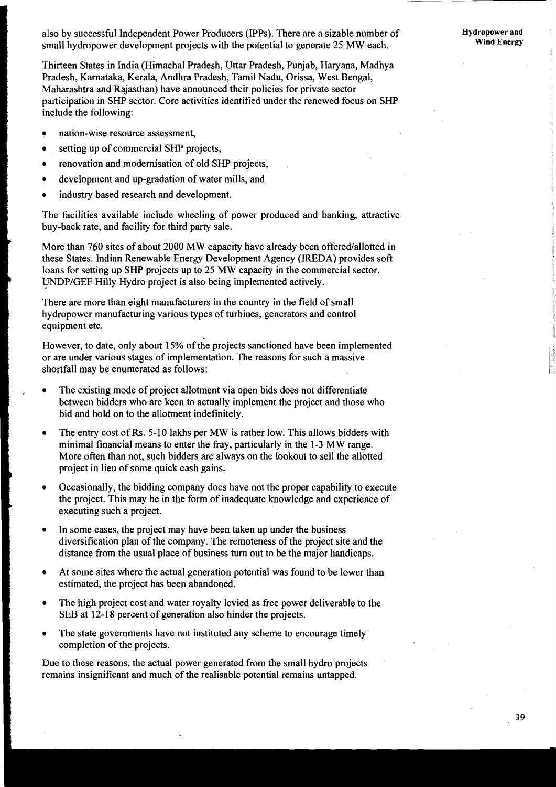also by successful Independent Power Producers (IPPs). There are a sizable number of small hydropower development projects with the potential to generate 25 MW each.

Thirteen States in India (Himachal Pradesh, Uttar Pradesh, Punjab, Haryana, Madhya Pradesh, Karnataka, Kerala, Andhra Pradesh, Tamil Nadu, Orissa, West Bengal, Maharashtra **and** Rajasthan) have announced their policies for private sector participation in SHP sector. Core activities identified under the renewed focus on SHP include the following:

- nation-wise resource assessment,  $\bullet$
- setting up of commercial SHP projects,  $\bullet$
- renovation and modernisation of old SHP projects,  $\bullet$
- development and up-gradation of water mills, and
- industry based research and development.

The facilities available include wheeling of power produced and banking, attractive buy-back rate, and facility for third party sale.

More than 760 sites of about 2000 MW capacity have already been offered/allotted in these States. Indian Renewable Energy Development Agency (IREDA) provides soft loans for setting up SHP projects up to 25 MW capacity in the commercial sector. UNDPIGEF Hilly Hydro project is also being implemented actively.

There are more than eight manufacturers in the country in the field of small hydropower manufacturing various types of turbines, generators and control equipment etc.

However, to date, only about 15% of the projects sanctioned have been implemented or are under various stages of implementation. The reasons for such a massive shortfall may be enumerated as follows:

- The existing mode of project allotment via open bids does not differentiate between bidders who are keen to actually implement the project and those who bid and hold on to the allotment indefinitely.
- The entry cost of **Rs.** 5-10 lakhs per MW is rather low. This allows bidders with minimal financial means to enter the fray, particularly in the 1-3 MW range. More often than not, such bidders are always on the lookout to sell the allotted project in lieu of some quick cash gains.
- Occasionally, the bidding company does have not the proper capability to execute  $\bullet$ the project. This may be in the form of inadequate knowledge and experience of executing such a project.
- In some cases, the project may have been taken up under the business  $\bullet$ diversification plan of the company. The remoteness of the project site and the distance from the usual place of business turn out to be the major handicaps.
- At some sites where the actual generation potential was found to be lower than  $\bullet$ estimated, the project has been abandoned.
- The high project cost and water royalty levied as free power deliverable to the  $\bullet$ SEB at 12-18 percent of generation also hinder the projects.
- The state governments have not instituted any scheme to encourage timely'  $\bullet$ completion of the projects.

Due to these reasons, the actual power generated from the small hydro projects remains insignificant and much of the realisable potential remains untapped.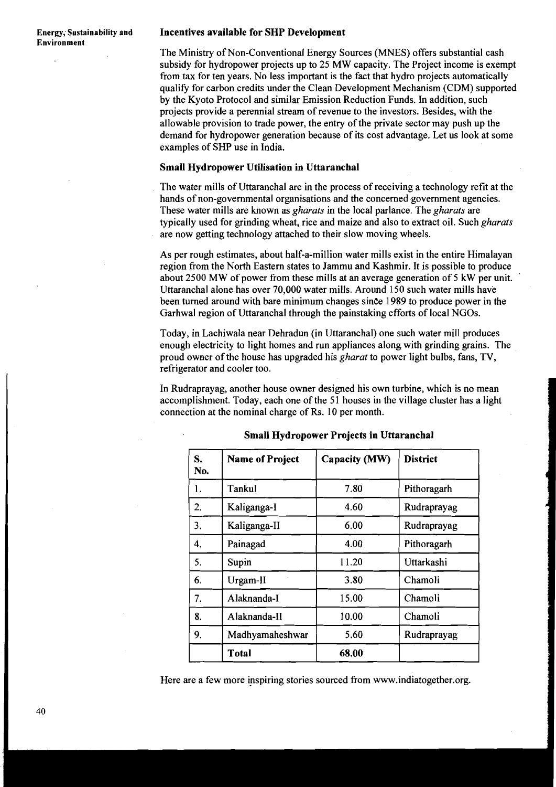#### **Energy; Sustainability and Incentives available for SHP Development**

The Ministry of Non-Conventional Energy Sources (MNES) offers substantial cash subsidy for hydropower projects up to 25 MW capacity. The Project income is exempt from tax for ten years. No less important is the fact that hydro projects automatically qualify for carbon credits under the Clean Development Mechanism (CDM) supported by the Kyoto Protocol and similar Emission Reduction Funds. In addition, such projects provide a perennial stream of revenue to the investors. Besides, with the allowable provision to trade power, the entry of the private sector may push up the demand for hydropower generation because of its cost advantage. Let us look at some examples of SHP use in India.

#### **Small Hydropower Utilisation in Uttaranchal**

The water mills of Uttaranchal are in the process of receiving a technology refit at the hands of non-governmental organisations and the concerned government agencies. These water mills are known as *gharats* in the local parlance. The *gharats* are typically used for grinding wheat, rice and maize and also to extract oil. Such *gharats*  are now getting technology attached to their slow moving wheels.

As per rough estimates, about half-a-million water mills exist in the entire Himalayan region from the North Eastern states to Jammu and Kashmir. It is possible to produce about 2500 MW of power from these mills at an average generation of 5 kW per unit. Uttaranchal alone has over 70,000 water mills. Around 150 such water mills have been turned around with bare minimum changes since 1989 to produce power in the Garhwal region of Uttaranchal through the painstaking efforts of local NGOs.

Today, in Lachiwala near Dehradun (in Uttaranchal) one such water mill produces enough electricity to light homes and run appliances along with grinding grains. The proud owner of the house has upgraded his *gharat* to power light bulbs, fans, **TV,**  refrigerator and cooler too.

In Rudraprayag, another house owner designed his own turbine, which is no mean accomplishment. Today, each one of the 51 houses in the village cluster has a light connection at the nominal charge of Rs. 10 per month.

| S.<br>No. | <b>Name of Project</b> | Capacity (MW) | <b>District</b> |
|-----------|------------------------|---------------|-----------------|
| 1.        | Tankul                 | 7.80          | Pithoragarh     |
| 2.        | Kaliganga-I            | 4.60          | Rudraprayag     |
| 3.        | Kaliganga-II           | 6.00          | Rudraprayag     |
| 4.        | Painagad               | 4.00          | Pithoragarh     |
| 5.        | Supin                  | 11.20         | Uttarkashi      |
| 6.        | Urgam-II               | 3.80          | Chamoli         |
| 7.        | Alaknanda-I            | 15.00         | Chamoli         |
| 8.        | Alaknanda-II           | 10.00         | Chamoli         |
| 9.        | Madhyamaheshwar        | 5.60          | Rudraprayag     |
|           | Total                  | 68.00         |                 |

#### **Small Hydropower Projects in Uttaranchal**

Here are a few more inspiring stories sourced from www.indiatogether.org.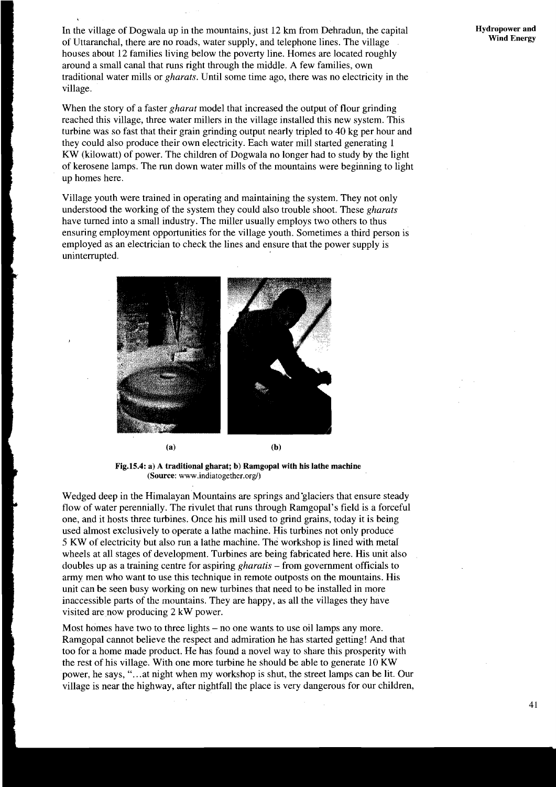In the village of Dogwala up in the mountains, just 12 **km** from Dehradun, the capital of Uttaranchal, there are no roads, water supply, and telephone lines. The village houses about 12 families living below the poverty line. Homes are located roughly around a small canal that runs right through the middle. A few families, own traditional water mills or *gharats.* Until some time ago, there was no electricity in the village.

When the story of a faster *gharut* model that increased the output of flour grinding reached this village, three water millers in the village installed this new system. This turbine was so fast that their grain grinding output nearly tripled to 40 kg per hour and they could also produce their own electricity. Each water mill started generating 1 KW (kilowatt) of power. The children of Dogwala no longer had to study by the light of kerosene lamps. The run down water mills of the mountains were beginning to light up homes here.

Village youth were trained in operating and maintaining the system. They not only understood the working of the system they could also trouble shoot. These *gharats*  have turned into a small industry. The miller usually employs two others to thus ensuring employment opportunities for the village youth. Sometimes a third person is employed as an electrician to check the lines and ensure that the power supply is uninterrupted.



**Fig.15.4: a) A traditional gharat;** b) **Ramgopal with his lathe machine (Source:** www.indiatogether.org/)

Wedged deep in the Himalayan Mountains are springs and glaciers that ensure steady flow of water perennially. The rivulet that runs through Ramgopal's field is a forceful one, and it hosts three turbines. Once his mill used to grind grains, today it is being used almost exclusively to operate a lathe machine. His turbines not only produce 5 KW of electricity but also run a lathe machine. The workshop is lined with metal wheels at all stages of development. Turbines are being fabricated here. His unit also doubles up as a training centre for aspiring *gharatis* - from government officials to army men who want to use this technique in remote outposts on the mountains. His unit can be seen busy working on new turbines that need to be installed in more inaccessible parts of the mountains. They are happy, as all the villages they have visited are now producing 2 kW power.

Most homes have two to three lights – no one wants to use oil lamps any more. Ramgopal cannot believe the respect and admiration he has started getting! And that too for a home made product. He has found a novel way to share this prosperity with the rest of his village. With one more turbine he should be able to generate 10 KW power, he says, "...at night when my workshop is shut, the street lamps can be lit. Our village is near the highway, after nightfall the place is very dangerous for our children,

 $41$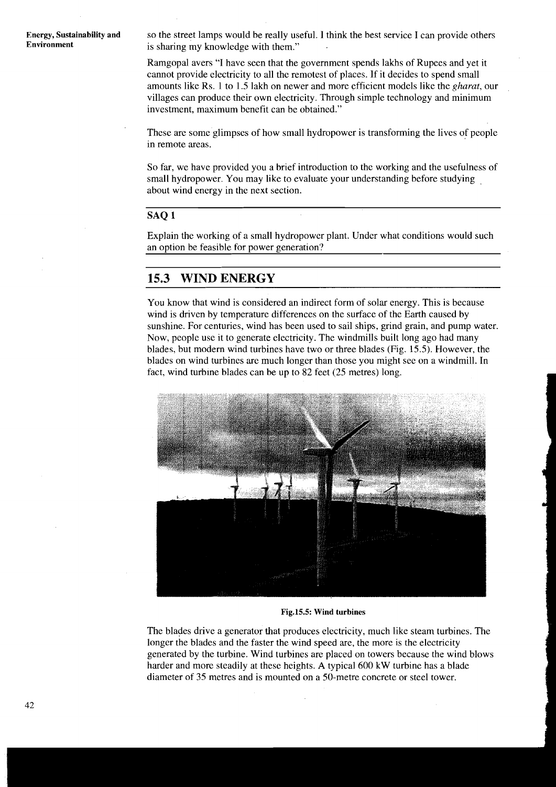**Energy, Sustainability and** so the street lamps would be really useful. I think the best service I can provide others **Environment** is sharing my knowledge with them " is sharing my knowledge with them."

> Ramgopal avers "I have seen that the government spends lakhs of Rupees and yet it cannot provide electricity to all the remotest of places. If it decides to spend small amounts like Rs. 1 to 1.5 lakh on newer and more efficient models like the *gharat*, our villages can produce their own electricity. Through simple technology and minimum investment, maximum benefit can be obtained."

> These are some glimpses of how small hydropower is transforming the lives of people in remote areas.

> So far, we have provided you a brief introduction to the working and the usefulness of small hydropower. You may like to evaluate your understanding before studying . about wind energy in the next section.

## **SAQ 1**

Explain the working of a small hydropower plant. Under what conditions would such an option be feasible for power generation?

# **15.3 WIND ENERGY**

You know that wind is considered an indirect form of solar energy. This is because wind is driven by temperature differences on the surface of the Earth caused by sunshine. For centuries, wind has been used to sail ships, grind grain, and pump water. Now, people use it to generate electricity. The windmills built long ago had many blades, but modern wind turbines have two or three blades (Fig. 15.5). However, the blades on wind turbines are much longer than those you might see on a windmill. In fact, wind turbine blades can be up to 82 feet (25 metres) long.



**Fig.15.5: Wind turbines** 

The blades drive a generator that produces electricity, much like steam turbines. The longer the blades and the faster the wind speed are, the more is the electricity generated by the turbine. Wind turbines are placed on towers because the wind blows harder and more steadily at these heights. **A** typical 600 kW turbine has a blade diameter of 35 metres and is mounted on a 50-metre concrete or steel tower.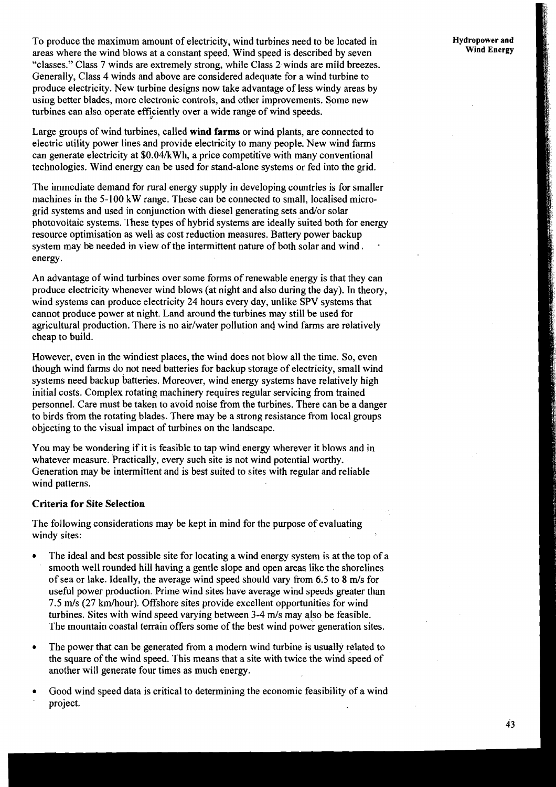To produce the maximum amount of electricity, wind turbines need to be located in areas where the wind blows at a constant speed. Wind speed is described by seven "classes." Class *7* winds are extremely strong, while Class *2* winds are mild breezes. Generally, Class 4 winds and above are considered adequate for a wind turbine to produce electricity. New turbine designs now take advantage of less windy areas by using better blades, more electronic controls, and other improvements. Some new turbines can also operate efficiently over a wide range of wind speeds.

Large groups of wind turbines, called **wind farms** or wind plants, are connected to electric utility power lines and provide electricity to many people. New wind farms can generate electricity at \$0.04/kWh, a price competitive with many conventional technologies. Wind energy can be used for stand-alone systems or fed into the grid.

The immediate demand for rural energy supply in developing countries is for smaller machines in the 5-100 kW range. These can be connected to small, localised microgrid systems and used in conjunction with diesel generating sets and/or solar photovoltaic systems. These types of hybrid systems are ideally suited both for energy resource optimisation as well as cost reduction measures. Battery power backup system may be needed in view of the intermittent nature of both solar and wind, energy.

An advantage of wind turbines over some forms of renewable energy is that they can produce electricity whenever wind blows (at night and also during the day). In theory, wind systems can produce electricity 24 hours every day, unlike SPV systems that cannot produce power at night. Land around the turbines may still be used for agricultural production. There is no air/water pollution and wind farms are relatively cheap to build.

However, even in the windiest places, the wind does not blow all the time. So, even though wind farms do not need batteries for backup storage of electricity, small wind systems need backup batteries. Moreover, wind energy systems have relatively high initial costs. Complex rotating machinery requires regular servicing from trained personnel. Care must be taken to avoid noise from the turbines. There can be a danger to birds from the rotating blades. There may be a strong resistance from local groups objecting to the visual impact of turbines on the landscape.

You may be wondering if it is feasible to tap wind energy wherever it blows and in whatever measure. Practically, every such site is not wind potential worthy. Generation may be intermittent and is best suited to sites with regular and reliable wind patterns.

## **Criteria for Site Selection**

The following considerations may be kept in mind for the purpose of evaluating windy sites:

- The ideal and best possible site for locating a wind energy system is at the top of a smooth well rounded hill having a gentle slope and open areas like the shorelines of sea or lake. Ideally, the average wind speed should vary from *6.5* to 8 m/s for useful power production. Prime wind sites have average wind speeds greater than *7.5* m/s *(27* kmhour). Offshore sites provide excellent opportunities for wind turbines. Sites with wind speed varying between 3-4 m/s may also be feasible. The mountain coastal terrain offers some of the best wind power generation sites.
- The power that can be generated from a modern wind turbine is usually related to the square of the wind speed. This means that a site with twice the wind speed of another will generate four times as much energy.
- Good wind speed data is critical to determining the economic feasibility of a wind project.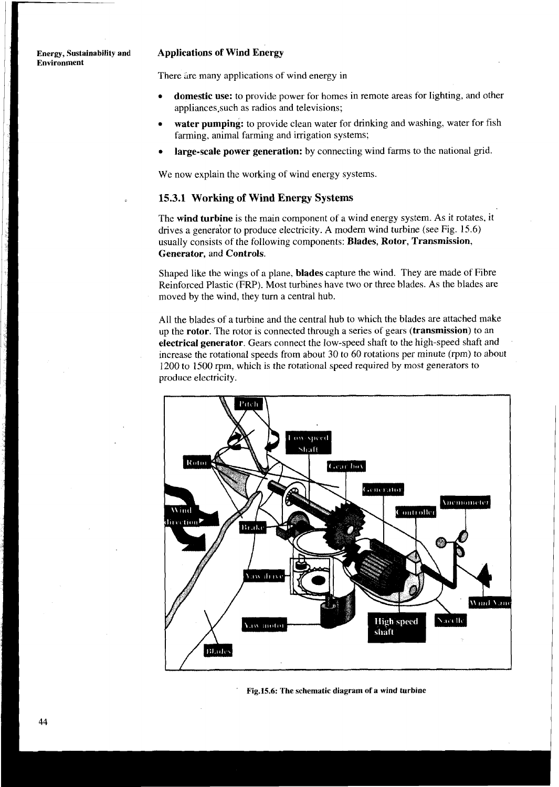**Environment** 

### **Energy, Sustainability and Applications of Wind Energy**

There are many applications of wind energy in

- **domestic use:** to provide power for homes in remote areas for lighting, and other appliances.such as radios and televisions;
- **water pumping:** to provide clean water for drinking and washing, water for fish farming, animal farming and irrigation systems;
- **large-scale power generation:** by connecting wind farms to the national grid.

We now explain the working of wind energy systems.

# **15.3.1 Working of Wind Energy Systems**

The **wind turbine** is the main component of a wind energy system. As it rotates, it drives a generator to produce electricity. A modern wind turbine (see Fig. 15.6) usually consists of the following components: **Blades, Rotor, Transmission, Generator,** and **Controls.** 

Shaped like the wings of a plane, **blades** capture the wind. They are made of Fibre Reinforced Plastic (FRP). Most turbines have two or three blades. As the blades are moved by the wind, they turn a central hub.

All the blades of a turbine and the central hub to which the blades are attached make up the **rotor.** The rotor is connected through a series of gears **(transmission)** to an **electrical generator,** Gears connect the low-speed shaft to the high-speed shaft and increase the rotational speeds from about 30 to 60 rotations per minute (rpm) to about 1200 to 1500 rpm, which is the rotational speed required by most generators to produce electricity.



**Fig.15.6: The schematic diagram of a wind turbine**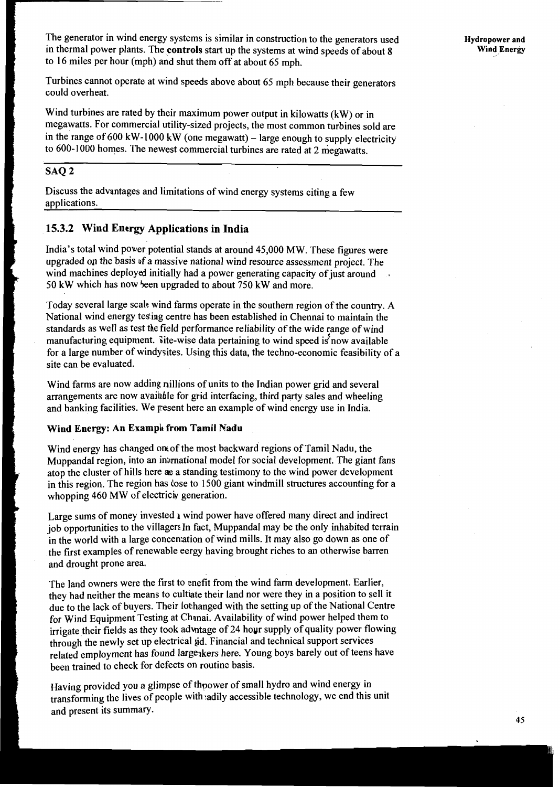he generator in wind energy systems is similar in construction to the generators used in thermal power plants. The **controls** start up the systems at wind speeds of about 8 to 16 miles per hour (mph) and shut them off at about 65 mph.

Turbines cannot operate at wind speeds above about 65 mph because their generators could overheat.

Wind turbines are rated by their maximum power output in kilowatts (kW) or in megawatts. For commercial utility-sized projects, the most common turbines sold are in the range of 600 kW-1000 kW (one megawatt) – large enough to supply electricity to 600-1 000 homes. The newest commercial turbines are rated at 2 niegawatts.

# SAQ 2

Discuss the advantages and limitations of wind energy systems citing a few applications.

# 15.3.2 **Wind Energy Applications in India**

India's total wind power potential stands at around 45,000 MW. These figures were upgraded on the basis of a massive national wind resource assessment project. The wind machines deployed initially had a power generating capacity of just around 50 kW which has now been upgraded to about 750 kW and more.

Today several large scale wind farms operate in the southern region of the country. A National wind energy tes'ing centre has been established in Chennai to maintain the standards as well as test the field performance reliability of the wide range of wind manufacturing equipment. Site-wise data pertaining to wind speed is now available for a large number of windysites. Using this data, the techno-economic feasibility of a site can be evaluated.

Wind farms are now adding nillions of units to the Indian power grid and several arrangements are now avaihble for grid interfacing, third party sales and wheeling and banking facilities. We pesent here an example of wind energy use in India.

# **Wind Energy: An Example from Tamil Nadu**

Wind energy has changed on of the most backward regions of Tamil Nadu, the Muppandal region, into an international model for social development. The giant fans atop the cluster of hills here **see** a standing testimony to the wind power development in this region. The region has dose to 1500 giant windmill structures accounting for a whopping 460 MW of electriciy generation.

Large sums of money invested **1** wind power have offered many direct and indirect job opportunities to the villagers In fact, Muppandal may be the only inhabited terrain in the world with a large concernation of wind mills. It may also go down as one of the first examples of renewable eergy having brought riches to **an** otherwise barren and drought prone area.

The land owners were the first to enefit from the wind farm development. Earlier, they had neither the means to cultiate their land nor were they in a position to sell it due to the lack of buyers. Their lothanged with the setting up of the National Centre for Wind Equipment Testing at Chanai. Availability of wind power helped them to irrigate their fields as they took advntage of 24 hour supply of quality power flowing through the newly set up electrical aid. Financial and technical support services related employment has found largeakers here. Young boys barely out of teens have been trained to check for defects on routine basis.

Having provided you a glimpse of thpower of small hydro and wind energy in transforming the lives of people with :adily accessible technology, we end this unit and present its summary.